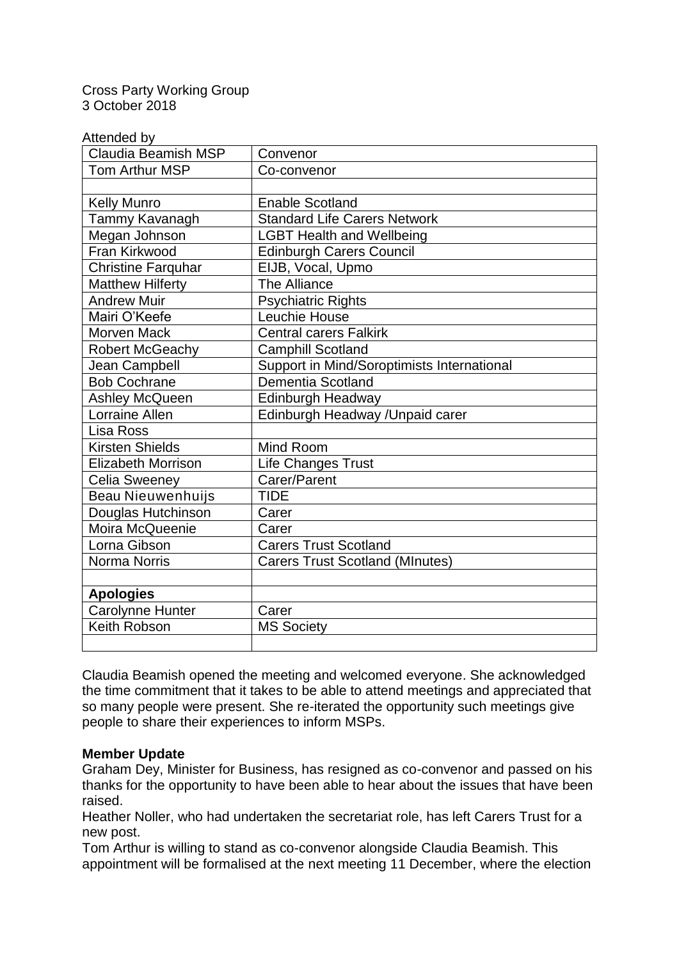Cross Party Working Group 3 October 2018

Attended by

| wwwww.<br><b>Claudia Beamish MSP</b> | Convenor                                   |
|--------------------------------------|--------------------------------------------|
| Tom Arthur MSP                       | Co-convenor                                |
|                                      |                                            |
| <b>Kelly Munro</b>                   | <b>Enable Scotland</b>                     |
| Tammy Kavanagh                       | <b>Standard Life Carers Network</b>        |
| Megan Johnson                        | <b>LGBT Health and Wellbeing</b>           |
| Fran Kirkwood                        | <b>Edinburgh Carers Council</b>            |
| <b>Christine Farquhar</b>            | EIJB, Vocal, Upmo                          |
| <b>Matthew Hilferty</b>              | The Alliance                               |
| <b>Andrew Muir</b>                   | <b>Psychiatric Rights</b>                  |
| Mairi O'Keefe                        | Leuchie House                              |
| <b>Morven Mack</b>                   | <b>Central carers Falkirk</b>              |
| <b>Robert McGeachy</b>               | <b>Camphill Scotland</b>                   |
| Jean Campbell                        | Support in Mind/Soroptimists International |
| <b>Bob Cochrane</b>                  | <b>Dementia Scotland</b>                   |
| <b>Ashley McQueen</b>                | Edinburgh Headway                          |
| <b>Lorraine Allen</b>                | Edinburgh Headway / Unpaid carer           |
| Lisa Ross                            |                                            |
| <b>Kirsten Shields</b>               | Mind Room                                  |
| <b>Elizabeth Morrison</b>            | Life Changes Trust                         |
| <b>Celia Sweeney</b>                 | Carer/Parent                               |
| <b>Beau Nieuwenhuijs</b>             | <b>TIDE</b>                                |
| Douglas Hutchinson                   | Carer                                      |
| Moira McQueenie                      | Carer                                      |
| Lorna Gibson                         | <b>Carers Trust Scotland</b>               |
| <b>Norma Norris</b>                  | <b>Carers Trust Scotland (MInutes)</b>     |
|                                      |                                            |
| <b>Apologies</b>                     |                                            |
| Carolynne Hunter                     | Carer                                      |
| Keith Robson                         | <b>MS Society</b>                          |
|                                      |                                            |

Claudia Beamish opened the meeting and welcomed everyone. She acknowledged the time commitment that it takes to be able to attend meetings and appreciated that so many people were present. She re-iterated the opportunity such meetings give people to share their experiences to inform MSPs.

## **Member Update**

Graham Dey, Minister for Business, has resigned as co-convenor and passed on his thanks for the opportunity to have been able to hear about the issues that have been raised.

Heather Noller, who had undertaken the secretariat role, has left Carers Trust for a new post.

Tom Arthur is willing to stand as co-convenor alongside Claudia Beamish. This appointment will be formalised at the next meeting 11 December, where the election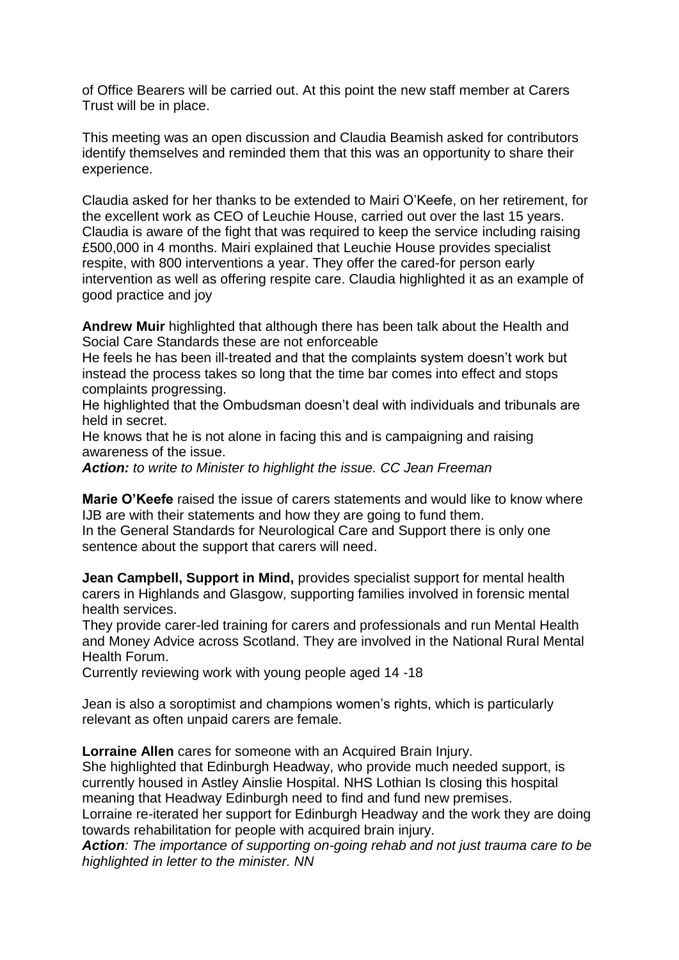of Office Bearers will be carried out. At this point the new staff member at Carers Trust will be in place.

This meeting was an open discussion and Claudia Beamish asked for contributors identify themselves and reminded them that this was an opportunity to share their experience.

Claudia asked for her thanks to be extended to Mairi O'Keefe, on her retirement, for the excellent work as CEO of Leuchie House, carried out over the last 15 years. Claudia is aware of the fight that was required to keep the service including raising £500,000 in 4 months. Mairi explained that Leuchie House provides specialist respite, with 800 interventions a year. They offer the cared-for person early intervention as well as offering respite care. Claudia highlighted it as an example of good practice and joy

**Andrew Muir** highlighted that although there has been talk about the Health and Social Care Standards these are not enforceable

He feels he has been ill-treated and that the complaints system doesn't work but instead the process takes so long that the time bar comes into effect and stops complaints progressing.

He highlighted that the Ombudsman doesn't deal with individuals and tribunals are held in secret.

He knows that he is not alone in facing this and is campaigning and raising awareness of the issue.

*Action: to write to Minister to highlight the issue. CC Jean Freeman*

**Marie O'Keefe** raised the issue of carers statements and would like to know where IJB are with their statements and how they are going to fund them.

In the General Standards for Neurological Care and Support there is only one sentence about the support that carers will need.

**Jean Campbell, Support in Mind,** provides specialist support for mental health carers in Highlands and Glasgow, supporting families involved in forensic mental health services.

They provide carer-led training for carers and professionals and run Mental Health and Money Advice across Scotland. They are involved in the National Rural Mental Health Forum.

Currently reviewing work with young people aged 14 -18

Jean is also a soroptimist and champions women's rights, which is particularly relevant as often unpaid carers are female.

**Lorraine Allen** cares for someone with an Acquired Brain Injury.

She highlighted that Edinburgh Headway, who provide much needed support, is currently housed in Astley Ainslie Hospital. NHS Lothian Is closing this hospital meaning that Headway Edinburgh need to find and fund new premises. Lorraine re-iterated her support for Edinburgh Headway and the work they are doing towards rehabilitation for people with acquired brain injury.

*Action: The importance of supporting on-going rehab and not just trauma care to be highlighted in letter to the minister. NN*